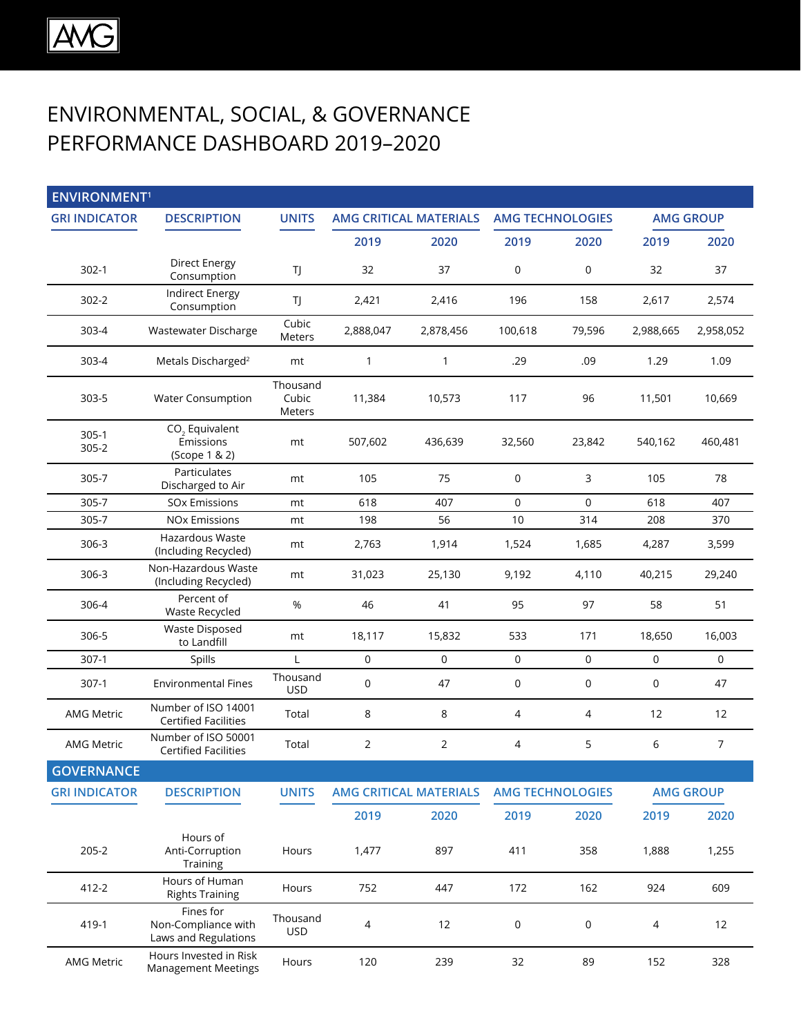## ENVIRONMENTAL, SOCIAL, & GOVERNANCE PERFORMANCE DASHBOARD 2019–2020

| <b>ENVIRONMENT<sup>1</sup></b> |                                                          |                             |                               |                               |                         |             |                  |                     |
|--------------------------------|----------------------------------------------------------|-----------------------------|-------------------------------|-------------------------------|-------------------------|-------------|------------------|---------------------|
| <b>GRI INDICATOR</b>           | <b>DESCRIPTION</b>                                       | <b>UNITS</b>                | <b>AMG CRITICAL MATERIALS</b> |                               | <b>AMG TECHNOLOGIES</b> |             | <b>AMG GROUP</b> |                     |
|                                |                                                          |                             | 2019                          | 2020                          | 2019                    | 2020        | 2019             | 2020                |
| $302-1$                        | <b>Direct Energy</b><br>Consumption                      | TJ                          | 32                            | 37                            | $\mathbf 0$             | $\mathsf 0$ | 32               | 37                  |
| $302 - 2$                      | <b>Indirect Energy</b><br>Consumption                    | TJ                          | 2,421                         | 2,416                         | 196                     | 158         | 2,617            | 2,574               |
| 303-4                          | Wastewater Discharge                                     | Cubic<br><b>Meters</b>      | 2,888,047                     | 2,878,456                     | 100,618                 | 79,596      | 2,988,665        | 2,958,052           |
| 303-4                          | Metals Discharged <sup>2</sup>                           | mt                          | 1                             | $\mathbf{1}$                  | .29                     | .09         | 1.29             | 1.09                |
| 303-5                          | <b>Water Consumption</b>                                 | Thousand<br>Cubic<br>Meters | 11,384                        | 10,573                        | 117                     | 96          | 11,501           | 10,669              |
| $305-1$<br>$305 - 2$           | CO <sub>2</sub> Equivalent<br>Emissions<br>(Scope 1 & 2) | mt                          | 507,602                       | 436,639                       | 32,560                  | 23,842      | 540,162          | 460,481             |
| 305-7                          | Particulates<br>Discharged to Air                        | mt                          | 105                           | 75                            | 0                       | 3           | 105              | 78                  |
| 305-7                          | <b>SOx Emissions</b>                                     | mt                          | 618                           | 407                           | 0                       | 0           | 618              | 407                 |
| 305-7                          | <b>NOx Emissions</b>                                     | mt                          | 198                           | 56                            | 10                      | 314         | 208              | 370                 |
| 306-3                          | Hazardous Waste<br>(Including Recycled)                  | mt                          | 2,763                         | 1,914                         | 1,524                   | 1,685       | 4,287            | 3,599               |
| 306-3                          | Non-Hazardous Waste<br>(Including Recycled)              | mt                          | 31,023                        | 25,130                        | 9,192                   | 4,110       | 40,215           | 29,240              |
| 306-4                          | Percent of<br>Waste Recycled                             | %                           | 46                            | 41                            | 95                      | 97          | 58               | 51                  |
| 306-5                          | <b>Waste Disposed</b><br>to Landfill                     | mt                          | 18,117                        | 15,832                        | 533                     | 171         | 18,650           | 16,003              |
| $307-1$                        | Spills                                                   | L                           | 0                             | 0                             | 0                       | $\mathbf 0$ | $\mathbf 0$      | $\mathsf{O}\xspace$ |
| 307-1                          | <b>Environmental Fines</b>                               | Thousand<br><b>USD</b>      | $\mathsf{O}\xspace$           | 47                            | 0                       | 0           | 0                | 47                  |
| <b>AMG Metric</b>              | Number of ISO 14001<br><b>Certified Facilities</b>       | Total                       | 8                             | 8                             | 4                       | 4           | 12               | 12                  |
| <b>AMG Metric</b>              | Number of ISO 50001<br><b>Certified Facilities</b>       | Total                       | $\overline{2}$                | 2                             | 4                       | 5           | 6                | $\overline{7}$      |
| <b>GOVERNANCE</b>              |                                                          |                             |                               |                               |                         |             |                  |                     |
| <b>GRI INDICATOR</b>           | <b>DESCRIPTION</b>                                       | <b>UNITS</b>                |                               | <b>AMG CRITICAL MATERIALS</b> | <b>AMG TECHNOLOGIES</b> |             | <b>AMG GROUP</b> |                     |
|                                |                                                          |                             | 2019                          | 2020                          | 2019                    | 2020        | 2019             | 2020                |
| $205 - 2$                      | Hours of<br>Anti-Corruption<br>Training                  | Hours                       | 1,477                         | 897                           | 411                     | 358         | 1,888            | 1,255               |
| 412-2                          | Hours of Human<br><b>Rights Training</b>                 | Hours                       | 752                           | 447                           | 172                     | 162         | 924              | 609                 |
| 419-1                          | Fines for<br>Non-Compliance with<br>Laws and Regulations | Thousand<br><b>USD</b>      | 4                             | 12                            | 0                       | 0           | 4                | 12                  |
| <b>AMG Metric</b>              | Hours Invested in Risk<br><b>Management Meetings</b>     | Hours                       | 120                           | 239                           | 32                      | 89          | 152              | 328                 |